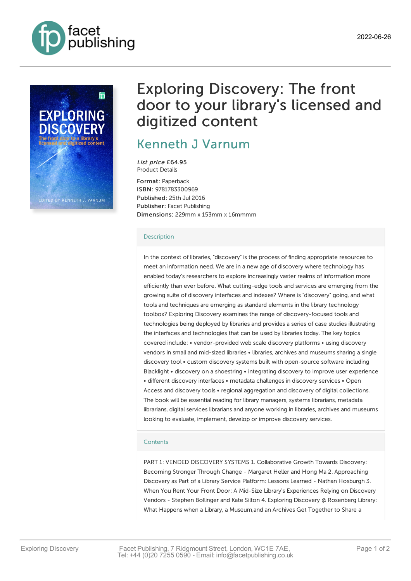



# Exploring Discovery: The front door to your library's licensed and digitized content

## [Kenneth](https://www.facetpublishing.co.uk/page/author-detail/?SF1=contributor&ST1=Kenneth%20J%20Varnum) J Varnum

List price £64.95 Product Details

Format: Paperback ISBN: 9781783300969 Published: 25th Jul 2016 Publisher: Facet Publishing Dimensions: 229mm x 153mm x 16mmmm

### [Description](javascript:void(0);)

In the context of libraries, "discovery" is the process of finding appropriate resources to meet an information need. We are in a new age of discovery where technology has enabled today's researchers to explore increasingly vaster realms of information more efficiently than ever before. What cutting-edge tools and services are emerging from the growing suite of discovery interfaces and indexes? Where is "discovery" going, and what tools and techniques are emerging as standard elements in the library technology toolbox? Exploring Discovery examines the range of discovery-focused tools and technologies being deployed by libraries and provides a series of case studies illustrating the interfaces and technologies that can be used by libraries today. The key topics covered include: • vendor-provided web scale discovery platforms • using discovery vendors in small and mid-sized libraries • libraries, archives and museums sharing a single discovery tool • custom discovery systems built with open-source software including Blacklight • discovery on a shoestring • integrating discovery to improve user experience • different discovery interfaces • metadata challenges in discovery services • Open Access and discovery tools • regional aggregation and discovery of digital collections. The book will be essential reading for library managers, systems librarians, metadata librarians, digital services librarians and anyone working in libraries, archives and museums looking to evaluate, implement, develop or improve discovery services.

#### **[Contents](javascript:void(0);)**

PART 1: VENDED DISCOVERY SYSTEMS 1. Collaborative Growth Towards Discovery: Becoming Stronger Through Change - Margaret Heller and Hong Ma 2. Approaching Discovery as Part of a Library Service Platform: Lessons Learned - Nathan Hosburgh 3. When You Rent Your Front Door: A Mid-Size Library's Experiences Relying on Discovery Vendors - Stephen Bollinger and Kate Silton 4. Exploring Discovery @ Rosenberg Library: What Happens when a Library, a Museum,and an Archives Get Together to Share a